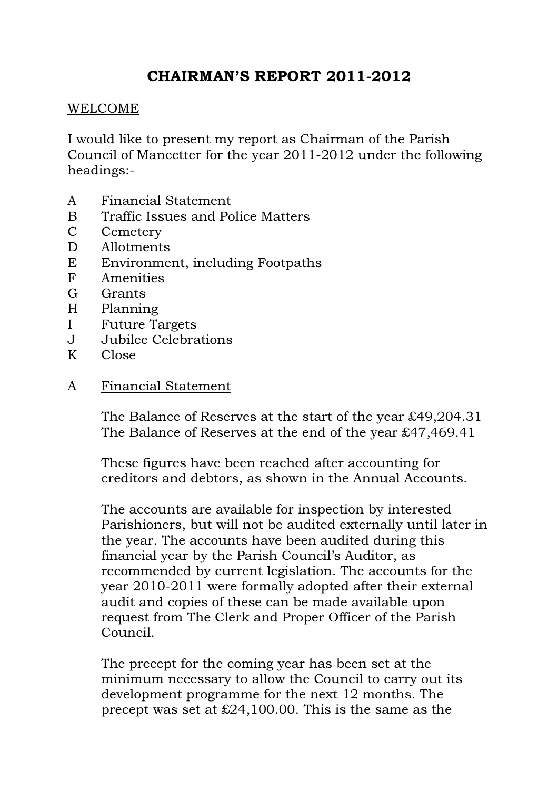# CHAIRMAN'S REPORT 2011-2012

#### WELCOME

I would like to present my report as Chairman of the Parish Council of Mancetter for the year 2011-2012 under the following headings:-

- A Financial Statement
- B Traffic Issues and Police Matters
- C Cemetery
- D Allotments
- E Environment, including Footpaths
- F Amenities
- G Grants
- H Planning
- I Future Targets
- J Jubilee Celebrations
- K Close
- A Financial Statement

 The Balance of Reserves at the start of the year £49,204.31 The Balance of Reserves at the end of the year £47,469.41

These figures have been reached after accounting for creditors and debtors, as shown in the Annual Accounts.

The accounts are available for inspection by interested Parishioners, but will not be audited externally until later in the year. The accounts have been audited during this financial year by the Parish Council's Auditor, as recommended by current legislation. The accounts for the year 2010-2011 were formally adopted after their external audit and copies of these can be made available upon request from The Clerk and Proper Officer of the Parish Council.

The precept for the coming year has been set at the minimum necessary to allow the Council to carry out its development programme for the next 12 months. The precept was set at  $\text{\pounds}24,100.00$ . This is the same as the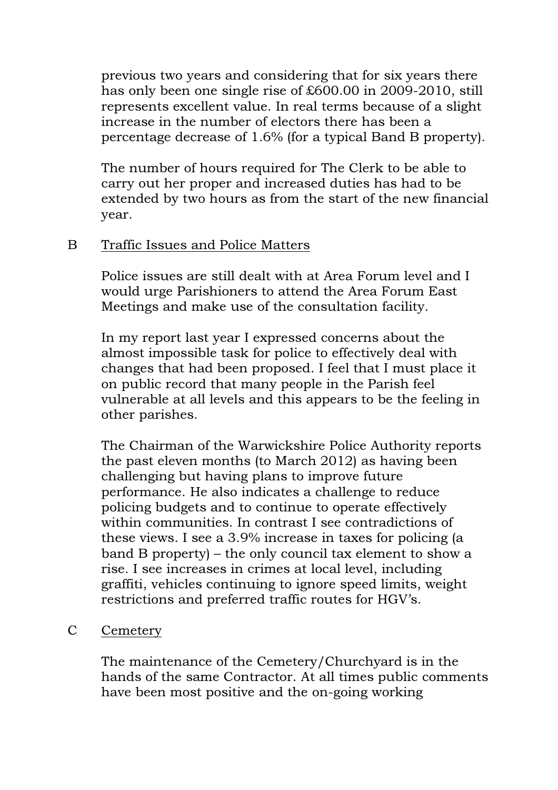previous two years and considering that for six years there has only been one single rise of £600.00 in 2009-2010, still represents excellent value. In real terms because of a slight increase in the number of electors there has been a percentage decrease of 1.6% (for a typical Band B property).

The number of hours required for The Clerk to be able to carry out her proper and increased duties has had to be extended by two hours as from the start of the new financial year.

## B Traffic Issues and Police Matters

Police issues are still dealt with at Area Forum level and I would urge Parishioners to attend the Area Forum East Meetings and make use of the consultation facility.

In my report last year I expressed concerns about the almost impossible task for police to effectively deal with changes that had been proposed. I feel that I must place it on public record that many people in the Parish feel vulnerable at all levels and this appears to be the feeling in other parishes.

The Chairman of the Warwickshire Police Authority reports the past eleven months (to March 2012) as having been challenging but having plans to improve future performance. He also indicates a challenge to reduce policing budgets and to continue to operate effectively within communities. In contrast I see contradictions of these views. I see a 3.9% increase in taxes for policing (a band B property) – the only council tax element to show a rise. I see increases in crimes at local level, including graffiti, vehicles continuing to ignore speed limits, weight restrictions and preferred traffic routes for HGV's.

### C Cemetery

The maintenance of the Cemetery/Churchyard is in the hands of the same Contractor. At all times public comments have been most positive and the on-going working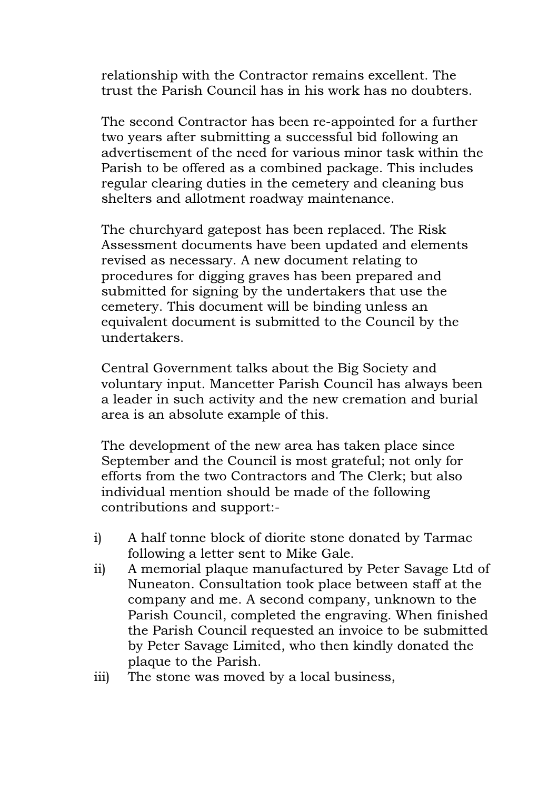relationship with the Contractor remains excellent. The trust the Parish Council has in his work has no doubters.

The second Contractor has been re-appointed for a further two years after submitting a successful bid following an advertisement of the need for various minor task within the Parish to be offered as a combined package. This includes regular clearing duties in the cemetery and cleaning bus shelters and allotment roadway maintenance.

The churchyard gatepost has been replaced. The Risk Assessment documents have been updated and elements revised as necessary. A new document relating to procedures for digging graves has been prepared and submitted for signing by the undertakers that use the cemetery. This document will be binding unless an equivalent document is submitted to the Council by the undertakers.

Central Government talks about the Big Society and voluntary input. Mancetter Parish Council has always been a leader in such activity and the new cremation and burial area is an absolute example of this.

The development of the new area has taken place since September and the Council is most grateful; not only for efforts from the two Contractors and The Clerk; but also individual mention should be made of the following contributions and support:-

- i) A half tonne block of diorite stone donated by Tarmac following a letter sent to Mike Gale.
- ii) A memorial plaque manufactured by Peter Savage Ltd of Nuneaton. Consultation took place between staff at the company and me. A second company, unknown to the Parish Council, completed the engraving. When finished the Parish Council requested an invoice to be submitted by Peter Savage Limited, who then kindly donated the plaque to the Parish.
- iii) The stone was moved by a local business,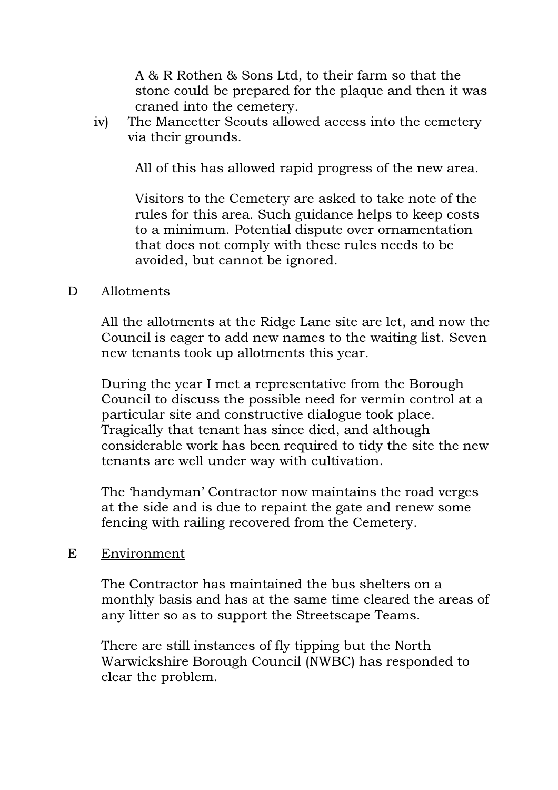A & R Rothen & Sons Ltd, to their farm so that the stone could be prepared for the plaque and then it was craned into the cemetery.

iv) The Mancetter Scouts allowed access into the cemetery via their grounds.

All of this has allowed rapid progress of the new area.

Visitors to the Cemetery are asked to take note of the rules for this area. Such guidance helps to keep costs to a minimum. Potential dispute over ornamentation that does not comply with these rules needs to be avoided, but cannot be ignored.

### D Allotments

 All the allotments at the Ridge Lane site are let, and now the Council is eager to add new names to the waiting list. Seven new tenants took up allotments this year.

During the year I met a representative from the Borough Council to discuss the possible need for vermin control at a particular site and constructive dialogue took place. Tragically that tenant has since died, and although considerable work has been required to tidy the site the new tenants are well under way with cultivation.

The 'handyman' Contractor now maintains the road verges at the side and is due to repaint the gate and renew some fencing with railing recovered from the Cemetery.

### E Environment

The Contractor has maintained the bus shelters on a monthly basis and has at the same time cleared the areas of any litter so as to support the Streetscape Teams.

There are still instances of fly tipping but the North Warwickshire Borough Council (NWBC) has responded to clear the problem.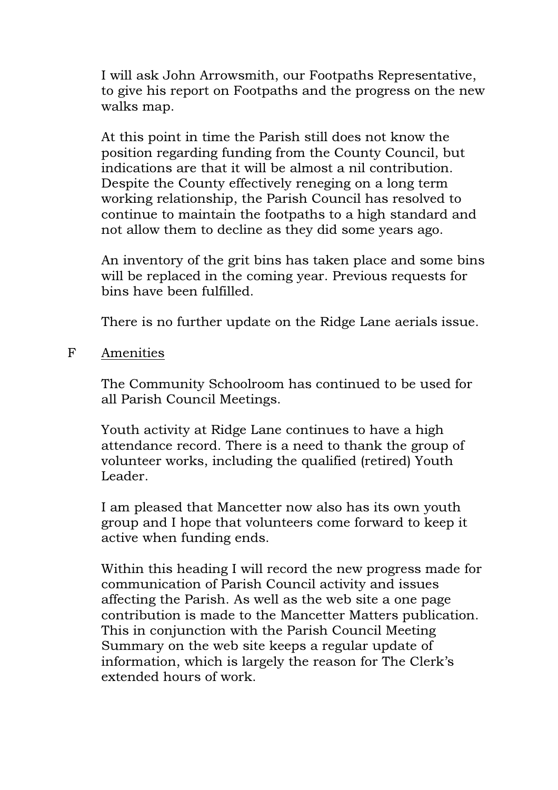I will ask John Arrowsmith, our Footpaths Representative, to give his report on Footpaths and the progress on the new walks map.

At this point in time the Parish still does not know the position regarding funding from the County Council, but indications are that it will be almost a nil contribution. Despite the County effectively reneging on a long term working relationship, the Parish Council has resolved to continue to maintain the footpaths to a high standard and not allow them to decline as they did some years ago.

An inventory of the grit bins has taken place and some bins will be replaced in the coming year. Previous requests for bins have been fulfilled.

There is no further update on the Ridge Lane aerials issue.

F Amenities

The Community Schoolroom has continued to be used for all Parish Council Meetings.

Youth activity at Ridge Lane continues to have a high attendance record. There is a need to thank the group of volunteer works, including the qualified (retired) Youth Leader.

I am pleased that Mancetter now also has its own youth group and I hope that volunteers come forward to keep it active when funding ends.

Within this heading I will record the new progress made for communication of Parish Council activity and issues affecting the Parish. As well as the web site a one page contribution is made to the Mancetter Matters publication. This in conjunction with the Parish Council Meeting Summary on the web site keeps a regular update of information, which is largely the reason for The Clerk's extended hours of work.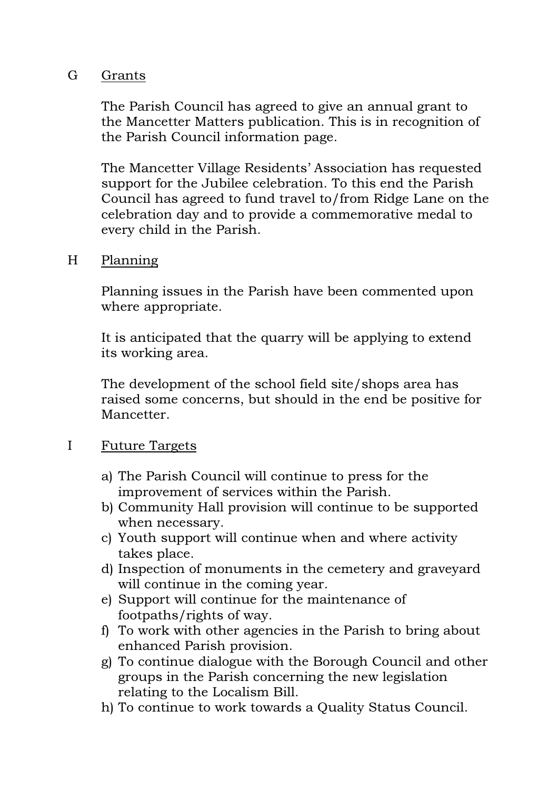### G Grants

The Parish Council has agreed to give an annual grant to the Mancetter Matters publication. This is in recognition of the Parish Council information page.

The Mancetter Village Residents' Association has requested support for the Jubilee celebration. To this end the Parish Council has agreed to fund travel to/from Ridge Lane on the celebration day and to provide a commemorative medal to every child in the Parish.

### H Planning

Planning issues in the Parish have been commented upon where appropriate.

It is anticipated that the quarry will be applying to extend its working area.

The development of the school field site/shops area has raised some concerns, but should in the end be positive for Mancetter.

### I Future Targets

- a) The Parish Council will continue to press for the improvement of services within the Parish.
- b) Community Hall provision will continue to be supported when necessary.
- c) Youth support will continue when and where activity takes place.
- d) Inspection of monuments in the cemetery and graveyard will continue in the coming year.
- e) Support will continue for the maintenance of footpaths/rights of way.
- f) To work with other agencies in the Parish to bring about enhanced Parish provision.
- g) To continue dialogue with the Borough Council and other groups in the Parish concerning the new legislation relating to the Localism Bill.
- h) To continue to work towards a Quality Status Council.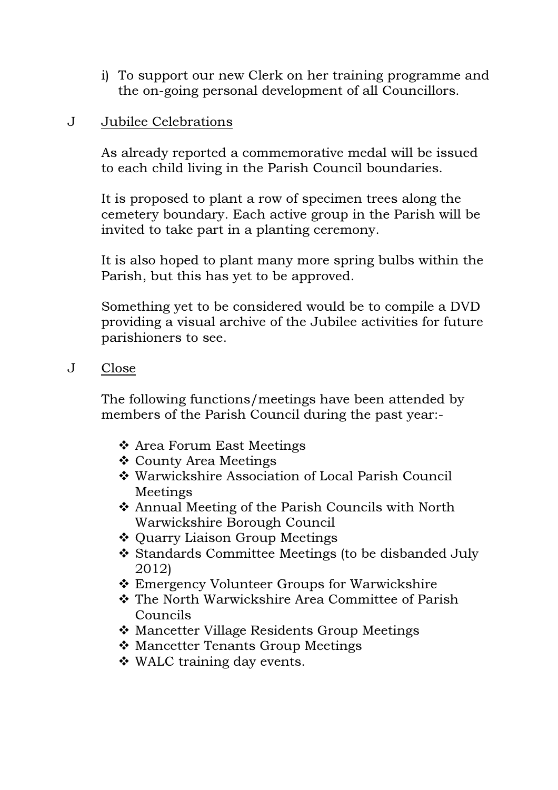i) To support our new Clerk on her training programme and the on-going personal development of all Councillors.

## J Jubilee Celebrations

As already reported a commemorative medal will be issued to each child living in the Parish Council boundaries.

It is proposed to plant a row of specimen trees along the cemetery boundary. Each active group in the Parish will be invited to take part in a planting ceremony.

It is also hoped to plant many more spring bulbs within the Parish, but this has yet to be approved.

Something yet to be considered would be to compile a DVD providing a visual archive of the Jubilee activities for future parishioners to see.

J Close

The following functions/meetings have been attended by members of the Parish Council during the past year:-

- ❖ Area Forum East Meetings
- County Area Meetings
- Warwickshire Association of Local Parish Council Meetings
- Annual Meeting of the Parish Councils with North Warwickshire Borough Council
- ❖ Quarry Liaison Group Meetings
- \* Standards Committee Meetings (to be disbanded July 2012)
- Emergency Volunteer Groups for Warwickshire
- The North Warwickshire Area Committee of Parish Councils
- ❖ Mancetter Village Residents Group Meetings
- Mancetter Tenants Group Meetings
- WALC training day events.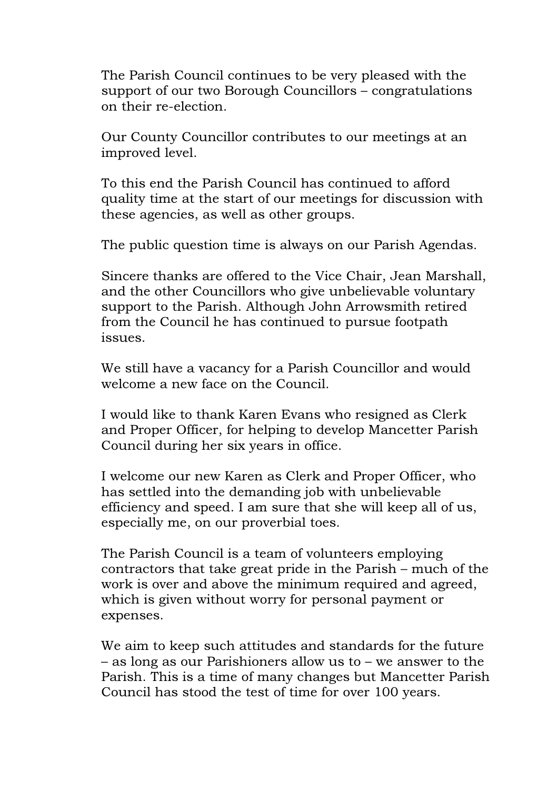The Parish Council continues to be very pleased with the support of our two Borough Councillors – congratulations on their re-election.

Our County Councillor contributes to our meetings at an improved level.

To this end the Parish Council has continued to afford quality time at the start of our meetings for discussion with these agencies, as well as other groups.

The public question time is always on our Parish Agendas.

Sincere thanks are offered to the Vice Chair, Jean Marshall, and the other Councillors who give unbelievable voluntary support to the Parish. Although John Arrowsmith retired from the Council he has continued to pursue footpath issues.

We still have a vacancy for a Parish Councillor and would welcome a new face on the Council.

I would like to thank Karen Evans who resigned as Clerk and Proper Officer, for helping to develop Mancetter Parish Council during her six years in office.

I welcome our new Karen as Clerk and Proper Officer, who has settled into the demanding job with unbelievable efficiency and speed. I am sure that she will keep all of us, especially me, on our proverbial toes.

The Parish Council is a team of volunteers employing contractors that take great pride in the Parish – much of the work is over and above the minimum required and agreed, which is given without worry for personal payment or expenses.

We aim to keep such attitudes and standards for the future – as long as our Parishioners allow us to – we answer to the Parish. This is a time of many changes but Mancetter Parish Council has stood the test of time for over 100 years.